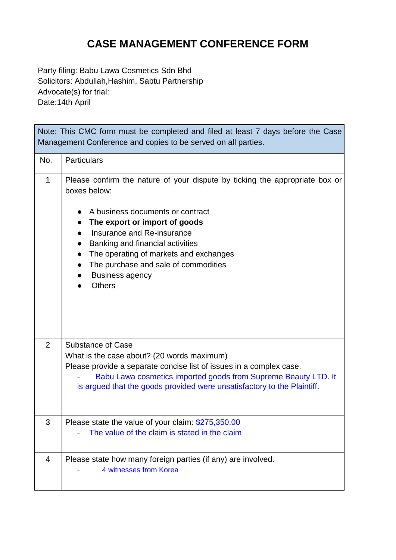## **CASE MANAGEMENT CONFERENCE FORM**

Party filing: Babu Lawa Cosmetics Sdn Bhd Solicitors: Abdullah,Hashim, Sabtu Partnership Advocate(s) for trial: Date:14th April

r.

| Note: This CMC form must be completed and filed at least 7 days before the Case<br>Management Conference and copies to be served on all parties. |                                                                                                                                                                                                                                                                                                                                                                 |  |
|--------------------------------------------------------------------------------------------------------------------------------------------------|-----------------------------------------------------------------------------------------------------------------------------------------------------------------------------------------------------------------------------------------------------------------------------------------------------------------------------------------------------------------|--|
| No.                                                                                                                                              | <b>Particulars</b>                                                                                                                                                                                                                                                                                                                                              |  |
| $\mathbf{1}$                                                                                                                                     | Please confirm the nature of your dispute by ticking the appropriate box or<br>boxes below:<br>A business documents or contract<br>The export or import of goods<br>Insurance and Re-insurance<br>Banking and financial activities<br>The operating of markets and exchanges<br>The purchase and sale of commodities<br><b>Business agency</b><br><b>Others</b> |  |
| $\overline{2}$                                                                                                                                   | <b>Substance of Case</b><br>What is the case about? (20 words maximum)<br>Please provide a separate concise list of issues in a complex case.<br>Babu Lawa cosmetics imported goods from Supreme Beauty LTD. It<br>is argued that the goods provided were unsatisfactory to the Plaintiff.                                                                      |  |
| 3                                                                                                                                                | Please state the value of your claim: \$275,350.00<br>The value of the claim is stated in the claim                                                                                                                                                                                                                                                             |  |
| 4                                                                                                                                                | Please state how many foreign parties (if any) are involved.<br>4 witnesses from Korea                                                                                                                                                                                                                                                                          |  |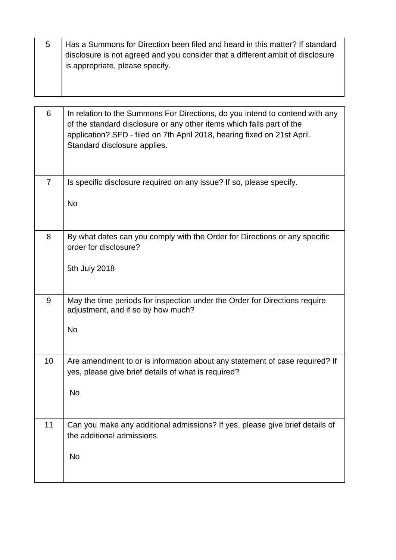5 Has a Summons for Direction been filed and heard in this matter? If standard disclosure is not agreed and you consider that a different ambit of disclosure is appropriate, please specify.

| 6              | In relation to the Summons For Directions, do you intend to contend with any<br>of the standard disclosure or any other items which falls part of the<br>application? SFD - filed on 7th April 2018, hearing fixed on 21st April.<br>Standard disclosure applies. |
|----------------|-------------------------------------------------------------------------------------------------------------------------------------------------------------------------------------------------------------------------------------------------------------------|
| $\overline{7}$ | Is specific disclosure required on any issue? If so, please specify.                                                                                                                                                                                              |
|                | <b>No</b>                                                                                                                                                                                                                                                         |
| 8              | By what dates can you comply with the Order for Directions or any specific<br>order for disclosure?                                                                                                                                                               |
|                | 5th July 2018                                                                                                                                                                                                                                                     |
| 9              | May the time periods for inspection under the Order for Directions require<br>adjustment, and if so by how much?                                                                                                                                                  |
|                | <b>No</b>                                                                                                                                                                                                                                                         |
| 10             | Are amendment to or is information about any statement of case required? If<br>yes, please give brief details of what is required?                                                                                                                                |
|                | No                                                                                                                                                                                                                                                                |
| 11             | Can you make any additional admissions? If yes, please give brief details of<br>the additional admissions.                                                                                                                                                        |
|                | <b>No</b>                                                                                                                                                                                                                                                         |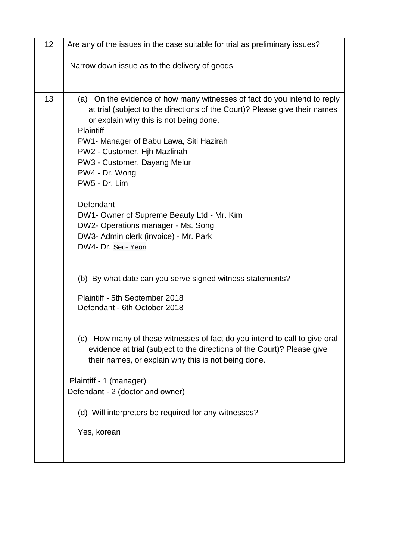| 12 | Are any of the issues in the case suitable for trial as preliminary issues?                                                                                                                                                                                                                                                                                                                                                                                                                                                                                                                                                                                       |
|----|-------------------------------------------------------------------------------------------------------------------------------------------------------------------------------------------------------------------------------------------------------------------------------------------------------------------------------------------------------------------------------------------------------------------------------------------------------------------------------------------------------------------------------------------------------------------------------------------------------------------------------------------------------------------|
|    | Narrow down issue as to the delivery of goods                                                                                                                                                                                                                                                                                                                                                                                                                                                                                                                                                                                                                     |
|    |                                                                                                                                                                                                                                                                                                                                                                                                                                                                                                                                                                                                                                                                   |
| 13 | (a) On the evidence of how many witnesses of fact do you intend to reply<br>at trial (subject to the directions of the Court)? Please give their names<br>or explain why this is not being done.<br><b>Plaintiff</b><br>PW1- Manager of Babu Lawa, Siti Hazirah<br>PW2 - Customer, Hjh Mazlinah<br>PW3 - Customer, Dayang Melur<br>PW4 - Dr. Wong<br>PW5 - Dr. Lim<br>Defendant<br>DW1- Owner of Supreme Beauty Ltd - Mr. Kim<br>DW2- Operations manager - Ms. Song<br>DW3- Admin clerk (invoice) - Mr. Park<br>DW4- Dr. Seo- Yeon<br>(b) By what date can you serve signed witness statements?<br>Plaintiff - 5th September 2018<br>Defendant - 6th October 2018 |
|    | (c) How many of these witnesses of fact do you intend to call to give oral<br>evidence at trial (subject to the directions of the Court)? Please give<br>their names, or explain why this is not being done.<br>Plaintiff - 1 (manager)<br>Defendant - 2 (doctor and owner)<br>(d) Will interpreters be required for any witnesses?<br>Yes, korean                                                                                                                                                                                                                                                                                                                |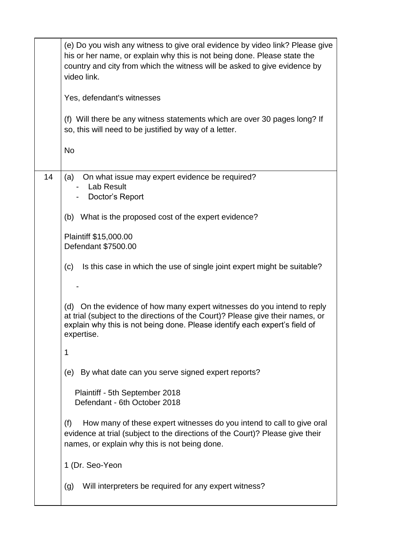|    | (e) Do you wish any witness to give oral evidence by video link? Please give<br>his or her name, or explain why this is not being done. Please state the<br>country and city from which the witness will be asked to give evidence by<br>video link.<br>Yes, defendant's witnesses<br>(f) Will there be any witness statements which are over 30 pages long? If<br>so, this will need to be justified by way of a letter.<br><b>No</b> |
|----|----------------------------------------------------------------------------------------------------------------------------------------------------------------------------------------------------------------------------------------------------------------------------------------------------------------------------------------------------------------------------------------------------------------------------------------|
|    |                                                                                                                                                                                                                                                                                                                                                                                                                                        |
| 14 | On what issue may expert evidence be required?<br>(a)<br><b>Lab Result</b><br>Doctor's Report                                                                                                                                                                                                                                                                                                                                          |
|    | (b) What is the proposed cost of the expert evidence?                                                                                                                                                                                                                                                                                                                                                                                  |
|    | Plaintiff \$15,000.00<br>Defendant \$7500.00                                                                                                                                                                                                                                                                                                                                                                                           |
|    | Is this case in which the use of single joint expert might be suitable?<br>(c)                                                                                                                                                                                                                                                                                                                                                         |
|    |                                                                                                                                                                                                                                                                                                                                                                                                                                        |
|    | On the evidence of how many expert witnesses do you intend to reply<br>(d)<br>at trial (subject to the directions of the Court)? Please give their names, or<br>explain why this is not being done. Please identify each expert's field of<br>expertise.                                                                                                                                                                               |
|    | 1                                                                                                                                                                                                                                                                                                                                                                                                                                      |
|    | By what date can you serve signed expert reports?<br>(e)                                                                                                                                                                                                                                                                                                                                                                               |
|    | Plaintiff - 5th September 2018<br>Defendant - 6th October 2018                                                                                                                                                                                                                                                                                                                                                                         |
|    | How many of these expert witnesses do you intend to call to give oral<br>(f)<br>evidence at trial (subject to the directions of the Court)? Please give their<br>names, or explain why this is not being done.                                                                                                                                                                                                                         |
|    | 1 (Dr. Seo-Yeon                                                                                                                                                                                                                                                                                                                                                                                                                        |
|    | Will interpreters be required for any expert witness?<br>(g)                                                                                                                                                                                                                                                                                                                                                                           |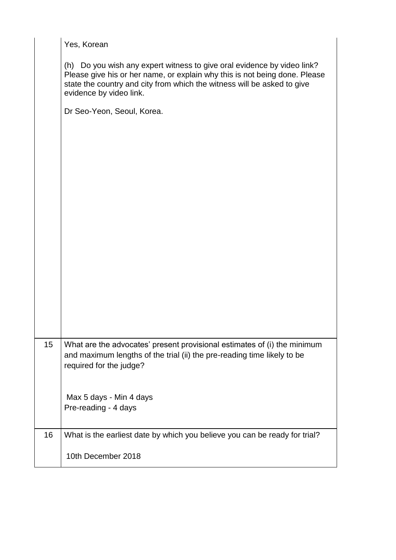|    | Yes, Korean                                                                                                                                                                                                                                                 |
|----|-------------------------------------------------------------------------------------------------------------------------------------------------------------------------------------------------------------------------------------------------------------|
|    | (h) Do you wish any expert witness to give oral evidence by video link?<br>Please give his or her name, or explain why this is not being done. Please<br>state the country and city from which the witness will be asked to give<br>evidence by video link. |
|    | Dr Seo-Yeon, Seoul, Korea.                                                                                                                                                                                                                                  |
|    |                                                                                                                                                                                                                                                             |
|    |                                                                                                                                                                                                                                                             |
|    |                                                                                                                                                                                                                                                             |
|    |                                                                                                                                                                                                                                                             |
|    |                                                                                                                                                                                                                                                             |
|    |                                                                                                                                                                                                                                                             |
| 15 | What are the advocates' present provisional estimates of (i) the minimum<br>and maximum lengths of the trial (ii) the pre-reading time likely to be<br>required for the judge?                                                                              |
|    | Max 5 days - Min 4 days<br>Pre-reading - 4 days                                                                                                                                                                                                             |
| 16 | What is the earliest date by which you believe you can be ready for trial?                                                                                                                                                                                  |
|    | 10th December 2018                                                                                                                                                                                                                                          |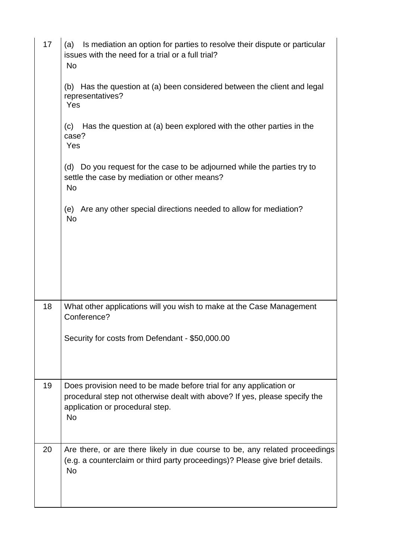| 17 | Is mediation an option for parties to resolve their dispute or particular<br>(a)<br>issues with the need for a trial or a full trial?<br><b>No</b><br>Has the question at (a) been considered between the client and legal<br>(b)<br>representatives?<br>Yes<br>Has the question at (a) been explored with the other parties in the<br>(c)<br>case?<br>Yes<br>Do you request for the case to be adjourned while the parties try to<br>(d)<br>settle the case by mediation or other means?<br><b>No</b><br>Are any other special directions needed to allow for mediation?<br>(e)<br><b>No</b> |
|----|-----------------------------------------------------------------------------------------------------------------------------------------------------------------------------------------------------------------------------------------------------------------------------------------------------------------------------------------------------------------------------------------------------------------------------------------------------------------------------------------------------------------------------------------------------------------------------------------------|
|    |                                                                                                                                                                                                                                                                                                                                                                                                                                                                                                                                                                                               |
| 18 | What other applications will you wish to make at the Case Management<br>Conference?<br>Security for costs from Defendant - \$50,000.00                                                                                                                                                                                                                                                                                                                                                                                                                                                        |
| 19 | Does provision need to be made before trial for any application or<br>procedural step not otherwise dealt with above? If yes, please specify the<br>application or procedural step.<br><b>No</b>                                                                                                                                                                                                                                                                                                                                                                                              |
| 20 | Are there, or are there likely in due course to be, any related proceedings<br>(e.g. a counterclaim or third party proceedings)? Please give brief details.<br><b>No</b>                                                                                                                                                                                                                                                                                                                                                                                                                      |